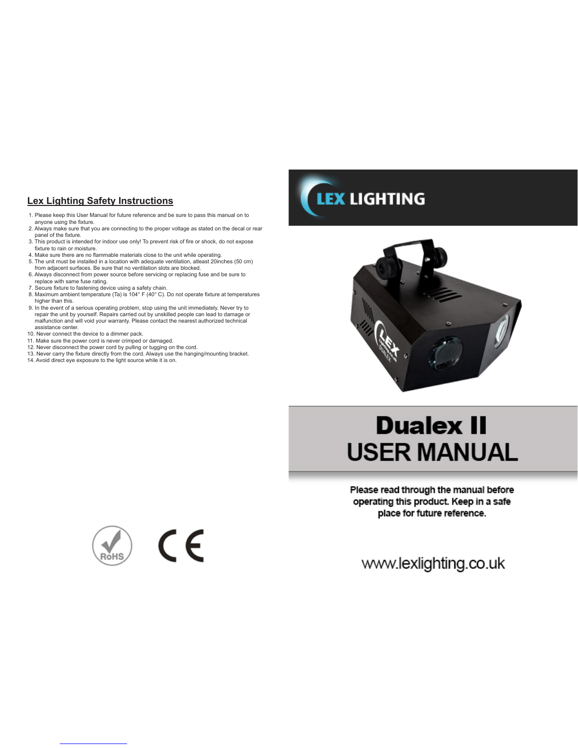# **Lex Lighting Safety Instructions**

- 1. Please keep this User Manual for future reference and be sure to pass this manual on to anyone using the fixture.
- 2. Always make sure that you are connecting to the proper voltage as stated on the decal or rear panel of the fixture. 3. This product is intended for indoor use only! To prevent risk of fire or shock, do not expose
- fixture to rain or moisture. 4. Make sure there are no flammable materials close to the unit while operating.
- 5. The unit must be installed in a location with adequate ventilation, atleast 20inches (50 cm) from adjacent surfaces. Be sure that no ventilation slots are blocked.
- 6. Always disconnect from power source before servicing or replacing fuse and be sure to replace with same fuse rating.
- 7. Secure fixture to fastening device using a safety chain.
- 8. Maximum ambient temperature (Ta) is 104° F (40° C). Do not operate fixture at temperatures higher than this.
- 9. In the event of a serious operating problem, stop using the unit immediately. Never try to repair the unit by yourself. Repairs carried out by unskilled people can lead to damage or malfunction and will void your warranty. Please contact the nearest authorized technical assistance center.
- 10. Never connect the device to a dimmer pack.
- 11. Make sure the power cord is never crimped or damaged. 12. Never disconnect the power cord by pulling or tugging on the cord.
- 13. Never carry the fixture directly from the cord. Always use the hanging/mounting bracket.
- 14. Avoid direct eye exposure to the light source while it is on.





# **Dualex II USER MANUAL**

Please read through the manual before operating this product. Keep in a safe place for future reference.

www.lexlighting.co.uk

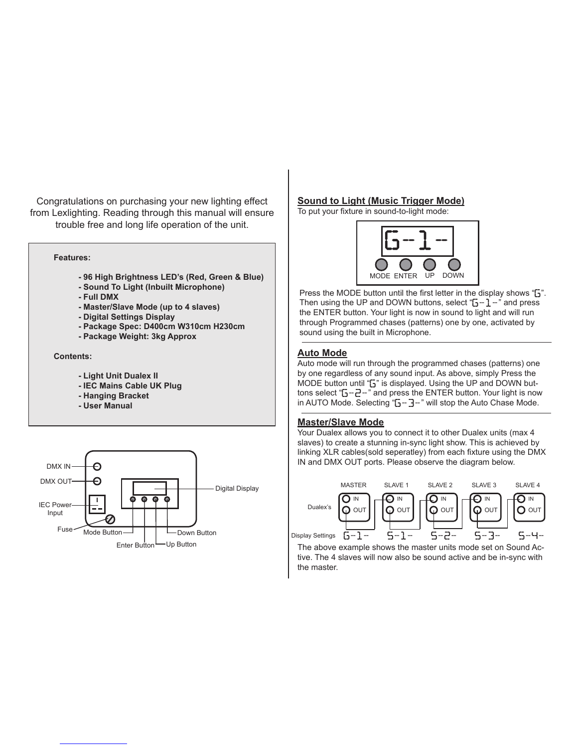Congratulations on purchasing your new lighting effect from Lexlighting. Reading through this manual will ensure trouble free and long life operation of the unit.

#### **Features:**

- **96 High Brightness LED's (Red, Green & Blue)**
- **Sound To Light (Inbuilt Microphone)**
- **Full DMX**
- **Master/Slave Mode (up to 4 slaves)**
- **Digital Settings Display**
- **Package Spec: D400cm W310cm H230cm**
- **Package Weight: 3kg Approx**

#### **Contents:**

- **Light Unit Dualex II**
- **IEC Mains Cable UK Plug**
- **Hanging Bracket**
- **User Manual**



## **Sound to Light (Music Trigger Mode)**

To put your fixture in sound-to-light mode:



Press the MODE button until the first letter in the display shows "*G*". Then using the UP and DOWN buttons, select "*G-1-*" and press the ENTER button. Your light is now in sound to light and will run through Programmed chases (patterns) one by one, activated by sound using the built in Microphone.

# **Auto Mode**

Auto mode will run through the programmed chases (patterns) one by one regardless of any sound input. As above, simply Press the MODE button until "*G*" is displayed. Using the UP and DOWN buttons select "*G-2-*" and press the ENTER button. Your light is now in AUTO Mode. Selecting "*G-3-*" will stop the Auto Chase Mode.

#### **Master/Slave Mode**

Your Dualex allows you to connect it to other Dualex units (max 4 slaves) to create a stunning in-sync light show. This is achieved by linking XLR cables(sold seperatley) from each fixture using the DMX IN and DMX OUT ports. Please observe the diagram below.



The above example shows the master units mode set on Sound Active. The 4 slaves will now also be sound active and be in-sync with the master.